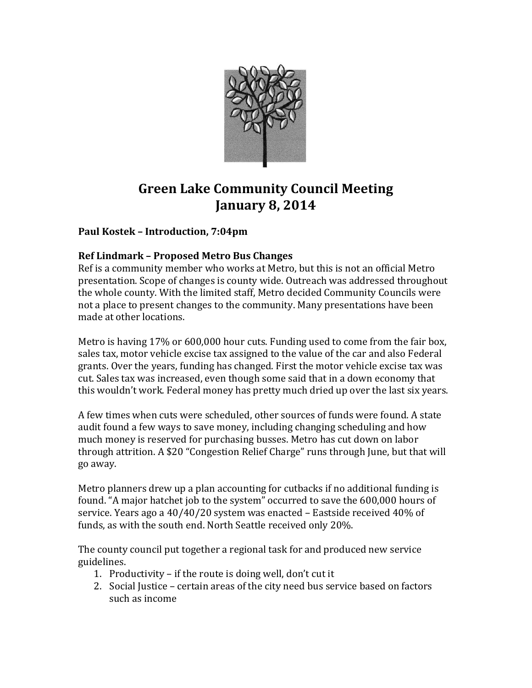

# **Green Lake Community Council Meeting January 8, 2014**

# **Paul Kostek – Introduction, 7:04pm**

#### **Ref Lindmark – Proposed Metro Bus Changes**

Ref is a community member who works at Metro, but this is not an official Metro presentation. Scope of changes is county wide. Outreach was addressed throughout the whole county. With the limited staff, Metro decided Community Councils were not a place to present changes to the community. Many presentations have been made at other locations.

Metro is having 17% or 600,000 hour cuts. Funding used to come from the fair box, sales tax, motor vehicle excise tax assigned to the value of the car and also Federal grants. Over the years, funding has changed. First the motor vehicle excise tax was cut. Sales tax was increased, even though some said that in a down economy that this wouldn't work. Federal money has pretty much dried up over the last six years.

A few times when cuts were scheduled, other sources of funds were found. A state audit found a few ways to save money, including changing scheduling and how much money is reserved for purchasing busses. Metro has cut down on labor through attrition. A \$20 "Congestion Relief Charge" runs through June, but that will go away.

Metro planners drew up a plan accounting for cutbacks if no additional funding is found. "A major hatchet job to the system" occurred to save the 600,000 hours of service. Years ago a 40/40/20 system was enacted – Eastside received 40% of funds, as with the south end. North Seattle received only 20%.

The county council put together a regional task for and produced new service guidelines.

- 1. Productivity if the route is doing well, don't cut it
- 2. Social Justice certain areas of the city need bus service based on factors such as income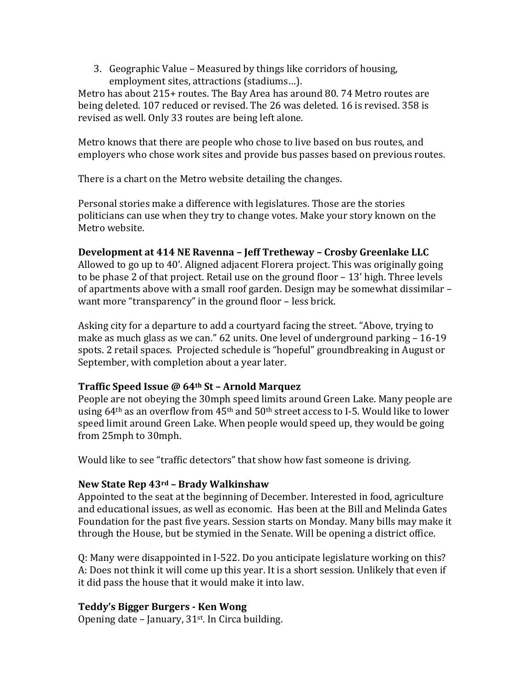3. Geographic Value – Measured by things like corridors of housing, employment sites, attractions (stadiums…).

Metro has about 215+ routes. The Bay Area has around 80. 74 Metro routes are being deleted. 107 reduced or revised. The 26 was deleted. 16 is revised. 358 is revised as well. Only 33 routes are being left alone.

Metro knows that there are people who chose to live based on bus routes, and employers who chose work sites and provide bus passes based on previous routes.

There is a chart on the Metro website detailing the changes.

Personal stories make a difference with legislatures. Those are the stories politicians can use when they try to change votes. Make your story known on the Metro website.

# **Development at 414 NE Ravenna – Jeff Tretheway – Crosby Greenlake LLC**

Allowed to go up to 40'. Aligned adjacent Florera project. This was originally going to be phase 2 of that project. Retail use on the ground floor – 13' high. Three levels of apartments above with a small roof garden. Design may be somewhat dissimilar – want more "transparency" in the ground floor – less brick.

Asking city for a departure to add a courtyard facing the street. "Above, trying to make as much glass as we can." 62 units. One level of underground parking – 16-19 spots. 2 retail spaces. Projected schedule is "hopeful" groundbreaking in August or September, with completion about a year later.

# **Traffic Speed Issue @ 64th St – Arnold Marquez**

People are not obeying the 30mph speed limits around Green Lake. Many people are using  $64<sup>th</sup>$  as an overflow from  $45<sup>th</sup>$  and  $50<sup>th</sup>$  street access to I-5. Would like to lower speed limit around Green Lake. When people would speed up, they would be going from 25mph to 30mph.

Would like to see "traffic detectors" that show how fast someone is driving.

# **New State Rep 43rd – Brady Walkinshaw**

Appointed to the seat at the beginning of December. Interested in food, agriculture and educational issues, as well as economic. Has been at the Bill and Melinda Gates Foundation for the past five years. Session starts on Monday. Many bills may make it through the House, but be stymied in the Senate. Will be opening a district office.

Q: Many were disappointed in I-522. Do you anticipate legislature working on this? A: Does not think it will come up this year. It is a short session. Unlikely that even if it did pass the house that it would make it into law.

# **Teddy's Bigger Burgers - Ken Wong**

Opening date – January, 31st. In Circa building.